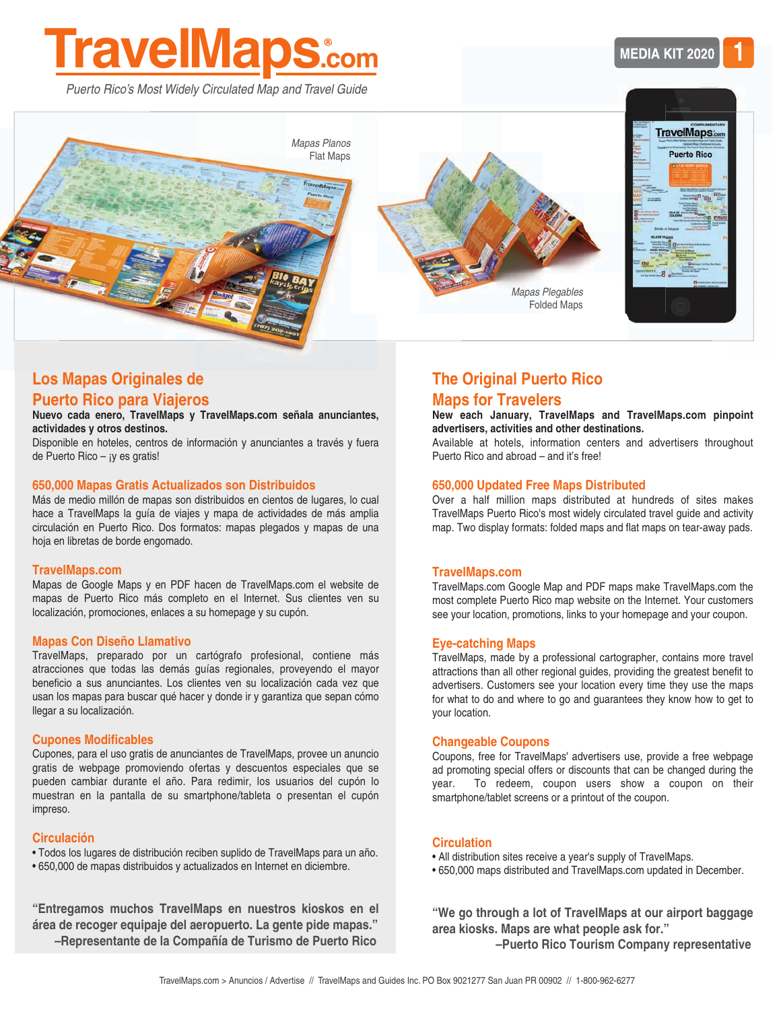# **[TravelMaps.com](http://www.travelmaps.com/casa/)**

*Puerto Rico's Most Widely Circulated Map and Travel Guide*







#### **Nuevo cada enero, [TravelMaps y TravelMaps.com](http://www.travelmaps.com/casa/) señala anunciantes, actividades y otros destinos.**

Disponible en hoteles, centros de información y anunciantes a través y fuera de Puerto Rico – ¡y es gratis!

#### **650,000 Mapas Gratis Actualizados son Distribuidos**

Más de medio millón de mapas son distribuidos en cientos de lugares, lo cual hace a TravelMaps la guía de viajes y mapa de actividades de más amplia circulación en Puerto Rico. Dos formatos: mapas plegados y mapas de una hoja en libretas de borde engomado.

#### **[TravelMaps.com](http://www.travelmaps.com/casa/)**

Mapas de Google Maps y en PDF hacen de TravelMaps.com el website de mapas de Puerto Rico más completo en el Internet. Sus clientes ven su localización, promociones, enlaces a su homepage y su cupón.

#### **Mapas Con Diseño Llamativo**

TravelMaps, preparado por un cartógrafo profesional, contiene más atracciones que todas las demás guías regionales, proveyendo el mayor beneficio a sus anunciantes. Los clientes ven su localización cada vez que usan los mapas para buscar qué hacer y donde ir y garantiza que sepan cómo llegar a su localización.

#### **Cupones Modificables**

Cupones, para el uso gratis de anunciantes de TravelMaps, provee un anuncio gratis de webpage promoviendo ofertas y descuentos especiales que se pueden cambiar durante el año. Para redimir, los usuarios del cupón lo muestran en la pantalla de su smartphone/tableta o presentan el cupón impreso.

#### **Circulación**

- Todos los lugares de distribución reciben suplido de TravelMaps para un año.
- 650,000 de mapas distribuidos y actualizados en Internet en diciembre.

**"Entregamos muchos TravelMaps en nuestros kioskos en el área de recoger equipaje del aeropuerto. La gente pide mapas." –Representante de la Compañía de Turismo de Puerto Rico**





# **The Original Puerto Rico Maps for Travelers**

#### **New each January, TravelMaps and [TravelMaps.com](http://www.travelmaps.com/home/) pinpoint advertisers, activities and other destinations.**

Available at hotels, information centers and advertisers throughout Puerto Rico and abroad – and it's free!

#### **650,000 Updated Free Maps Distributed**

Over a half million maps distributed at hundreds of sites makes TravelMaps Puerto Rico's most widely circulated travel guide and activity map. Two display formats: folded maps and flat maps on tear-away pads.

#### **[TravelMaps.com](http://www.travelmaps.com/home/)**

TravelMaps.com Google Map and PDF maps make [TravelMaps.com](http://www.travelmaps.com/home/) the most complete Puerto Rico map website on the Internet. Your customers see your location, promotions, links to your homepage and your coupon.

#### **Eye-catching Maps**

TravelMaps, made by a professional cartographer, contains more travel attractions than all other regional guides, providing the greatest benefit to advertisers. Customers see your location every time they use the maps for what to do and where to go and guarantees they know how to get to your location.

#### **Changeable Coupons**

Coupons, free for TravelMaps' advertisers use, provide a free webpage ad promoting special offers or discounts that can be changed during the year. To redeem, coupon users show a coupon on their smartphone/tablet screens or a printout of the coupon.

#### **Circulation**

- All distribution sites receive a year's supply of TravelMaps.
- 650,000 maps distributed and [TravelMaps.com](http://www.travelmaps.com/home/) updated in December.

**"We go through a lot of TravelMaps at our airport baggage area kiosks. Maps are what people ask for."** 

 **–Puerto Rico Tourism Company representative**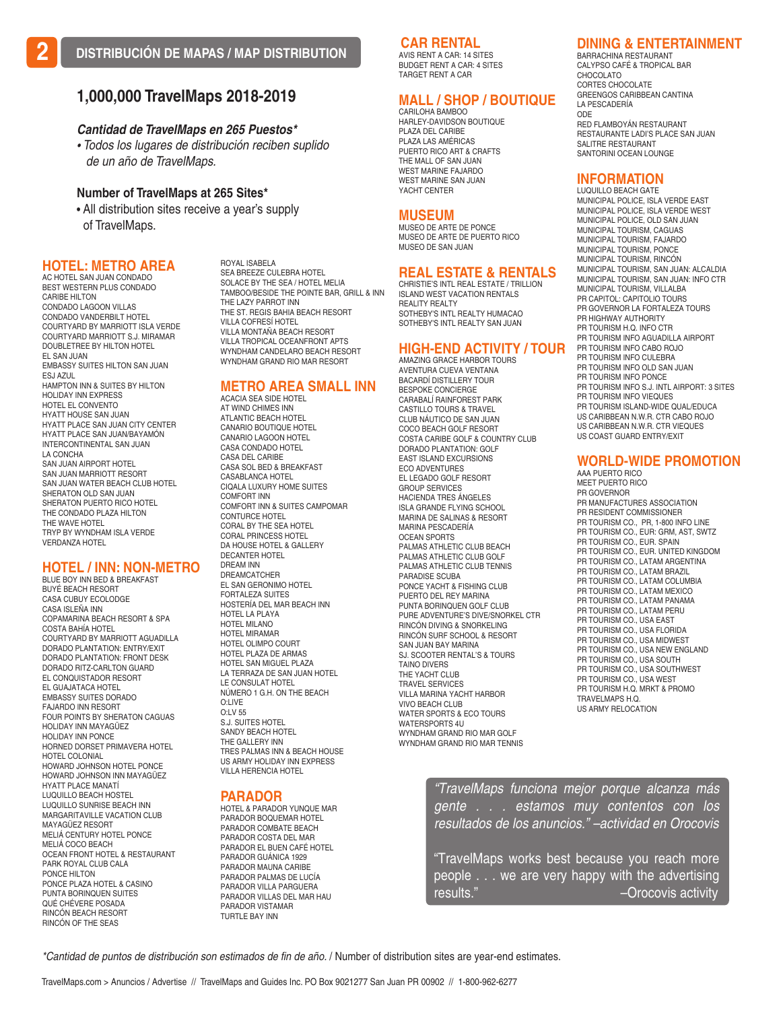#### **CAR RENTAL**

AVIS RENT A CAR: 14 SITES BUDGET RENT A CAR: 4 SITES TARGET RENT A CAR

## **MALL / SHOP / BOUTIQUE**

CARILOHA BAMBOO HARLEY-DAVIDSON BOUTIQUE PLAZA DEL CARIBE PLAZA LAS AMÉRICAS PUERTO RICO ART & CRAFTS THE MALL OF SAN JUAN WEST MARINE FAJARDO WEST MARINE SAN JUAN YACHT CENTER

#### **MUSEUM**

MUSEO DE ARTE DE PONCE MUSEO DE ARTE DE PUERTO RICO MUSEO DE SAN JUAN

#### **REAL ESTATE & RENTALS** CHRISTIE'S INTL REAL ESTATE / TRILLION

ISLAND WEST VACATION RENTALS REALITY REALTY SOTHEBY'S INTL REALTY HUMACAO SOTHEBY'S INTL REALTY SAN JUAN

#### **HIGH-END ACTIVITY / TOUR**

AMAZING GRACE HARBOR TOURS AVENTURA CUEVA VENTANA BACARDÍ DISTILLERY TOUR BESPOKE CONCIERGE CARABALÍ RAINFOREST PARK CASTILLO TOURS & TRAVEL CLUB NÁUTICO DE SAN JUAN COCO BEACH GOLF RESORT COSTA CARIBE GOLF & COUNTRY CLUB DORADO PLANTATION: GOLF EAST ISLAND EXCURSIONS ECO ADVENTURES EL LEGADO GOLF RESORT GROUP SERVICES HACIENDA TRES ÁNGELES ISLA GRANDE FLYING SCHOOL MARINA DE SALINAS & RESORT MARINA PESCADERÍA OCEAN SPORTS PALMAS ATHLETIC CLUB BEACH PALMAS ATHLETIC CLUB GOLF PALMAS ATHLETIC CLUB TENNIS PARADISE SCUBA PONCE YACHT & FISHING CLUB PUERTO DEL REY MARINA PUNTA BORINQUEN GOLF CLUB PURE ADVENTURE'S DIVE/SNORKEL CTR RINCÓN DIVING & SNORKELING RINCÓN SURF SCHOOL & RESORT SAN JUAN BAY MARINA SJ. SCOOTER RENTAL'S & TOURS TAINO DIVERS THE YACHT CLUB TRAVEL SERVICES VILLA MARINA YACHT HARBOR VIVO BEACH CLUB WATER SPORTS & ECO TOURS WATERSPORTS 4U WYNDHAM GRAND RIO MAR GOLF WYNDHAM GRAND RIO MAR TENNIS

#### **DINING & ENTERTAINMENT**  BARRACHINA RESTAURANT

CALYPSO CAFÉ & TROPICAL BAR CHOCOLATO CORTES CHOCOLATE GREENGOS CARIBBEAN CANTINA LA PESCADERÍA ODE RED FLAMBOYÁN RESTAURANT RESTAURANTE LADI'S PLACE SAN JUAN SALITRE RESTAURANT SANTORINI OCEAN LOUNGE

#### **INFORMATION**

LUQUILLO BEACH GATE MUNICIPAL POLICE, ISLA VERDE EAST MUNICIPAL POLICE, ISLA VERDE WEST MUNICIPAL POLICE, OLD SAN JUAN MUNICIPAL TOURISM, CAGUAS MUNICIPAL TOURISM, FAJARDO MUNICIPAL TOURISM, PONCE MUNICIPAL TOURISM, RINCÓN MUNICIPAL TOURISM, SAN JUAN: ALCALDIA MUNICIPAL TOURISM, SAN JUAN: INFO CTR MUNICIPAL TOURISM, VILLALBA PR CAPITOL: CAPITOLIO TOURS PR GOVERNOR LA FORTALEZA TOURS PR HIGHWAY AUTHORITY PR TOURISM H.Q. INFO CTR PR TOURISM INFO AGUADILLA AIRPORT PR TOURISM INFO CABO ROJO PR TOURISM INFO CULEBRA PR TOURISM INFO OLD SAN JUAN PR TOURISM INFO PONCE PR TOURISM INFO S.J. INTL AIRPORT: 3 SITES PR TOURISM INFO VIEQUES PR TOURISM ISLAND-WIDE QUAL/EDUCA US CARIBBEAN N.W.R. CTR CABO ROJO US CARIBBEAN N.W.R. CTR VIEQUES US COAST GUARD ENTRY/EXIT

#### **WORLD-WIDE PROMOTION**

AAA PUERTO RICO MEET PUERTO RICO PR GOVERNOR PR MANUFACTURES ASSOCIATION PR RESIDENT COMMISSIONER PR TOURISM CO., PR, 1-800 INFO LINE PR TOURISM CO., EUR: GRM, AST, SWTZ PR TOURISM CO., EUR. SPAIN PR TOURISM CO., EUR. UNITED KINGDOM PR TOURISM CO., LATAM ARGENTINA PR TOURISM CO., LATAM BRAZIL PR TOURISM CO., LATAM COLUMBIA PR TOURISM CO., LATAM MEXICO PR TOURISM CO., LATAM PANAMA PR TOURISM CO., LATAM PERU PR TOURISM CO., USA EAST PR TOURISM CO., USA FLORIDA PR TOURISM CO., USA MIDWEST PR TOURISM CO., USA NEW ENGLAND PR TOURISM CO., USA SOUTH PR TOURISM CO., USA SOUTHWEST PR TOURISM CO., USA WEST PR TOURISM H.Q. MRKT & PROMO TRAVELMAPS H.Q. US ARMY RELOCATION

*"TravelMaps funciona mejor porque alcanza más gente . . . estamos muy contentos con los resultados de los anuncios." –actividad en Orocovis*

"TravelMaps works best because you reach more people . . . we are very happy with the advertising results." – Crocovis activity

**1,000,000 TravelMaps 2018-2019**

#### *Cantidad de TravelMaps en 265 Puestos\**

*• Todos los lugares de distribución reciben suplido de un año de TravelMaps.*

ROYAL ISABELA

#### **Number of TravelMaps at 265 Sites\***

**•** All distribution sites receive a year's supply of TravelMaps.

#### **HOTEL: METRO AREA**

AC HOTEL SAN JUAN CONDADO BEST WESTERN PLUS CONDADO CARIBE HILTON CONDADO LAGOON VILLAS CONDADO VANDERBILT HOTEL COURTYARD BY MARRIOTT ISLA VERDE COURTYARD MARRIOTT S.J. MIRAMAR DOUBLETREE BY HILTON HOTEL EL SAN JUAN EMBASSY SUITES HILTON SAN JUAN ESJ AZUL HAMPTON INN & SUITES BY HILTON HOLIDAY INN EXPRESS HOTEL EL CONVENTO HYATT HOUSE SAN JUAN HYATT PLACE SAN JUAN CITY CENTER HYATT PLACE SAN JUAN/BAYAMÓN INTERCONTINENTAL SAN JUAN LA CONCHA SAN JUAN AIRPORT HOTEL SAN JUAN MARRIOTT RESORT SAN JUAN WATER BEACH CLUB HOTEL SHERATON OLD SAN JUAN SHERATON PUERTO RICO HOTEL THE CONDADO PLAZA HILTON THE WAVE HOTEL TRYP BY WYNDHAM ISLA VERDE VERDANZA HOTEL

### **HOTEL / INN: NON-METRO**

BLUE BOY INN BED & BREAKFAST BUYÉ BEACH RESORT CASA CUBUY ECOLODGE CASA ISLEÑA INN COPAMARINA BEACH RESORT & SPA COSTA BAHÍA HOTEL COURTYARD BY MARRIOTT AGUADILLA DORADO PLANTATION: ENTRY/EXIT DORADO PLANTATION: FRONT DESK DORADO RITZ-CARLTON GUARD EL CONQUISTADOR RESORT EL GUAJATACA HOTEL EMBASSY SUITES DORADO FAJARDO INN RESORT FOUR POINTS BY SHERATON CAGUAS HOLIDAY INN MAYAGÜEZ HOLIDAY INN PONCE HORNED DORSET PRIMAVERA HOTEL HOTEL COLONIAL HOWARD JOHNSON HOTEL PONCE HOWARD JOHNSON INN MAYAGÜEZ HYATT PLACE MANATÍ LUQUILLO BEACH HOSTEL LUQUILLO SUNRISE BEACH INN MARGARITAVILLE VACATION CLUB MAYAGÜEZ RESORT MELIÁ CENTURY HOTEL PONCE MELIÁ COCO BEACH OCEAN FRONT HOTEL & RESTAURANT PARK ROYAL CLUB CALA PONCE HILTON PONCE PLAZA HOTEL & CASINO PUNTA BORINQUEN SUITES QUÉ CHÉVERE POSADA RINCÓN BEACH RESORT RINCÓN OF THE SEAS

SEA BREEZE CULEBRA HOTEL SOLACE BY THE SEA / HOTEL MELIA TAMBOO/BESIDE THE POINTE BAR, GRILL & INN THE LAZY PARROT INN THE ST. REGIS BAHIA BEACH RESORT VILLA COFRESÍ HOTEL VILLA MONTAÑA BEACH RESORT VILLA TROPICAL OCEANFRONT APTS WYNDHAM CANDELARO BEACH RESORT WYNDHAM GRAND RIO MAR RESORT

#### **METRO AREA SMALL INN**  ACACIA SEA SIDE HOTEL

AT WIND CHIMES INN ATLANTIC BEACH HOTEL CANARIO BOUTIQUE HOTEL CANARIO LAGOON HOTEL CASA CONDADO HOTEL CASA DEL CARIBE CASA SOL BED & BREAKFAST CASABLANCA HOTEL CIQALA LUXURY HOME SUITES COMFORT INN COMFORT INN & SUITES CAMPOMAR CONTURCE HOTEL CORAL BY THE SEA HOTEL CORAL PRINCESS HOTEL DA HOUSE HOTEL & GALLERY DECANTER HOTEL DREAM INN DREAMCATCHER EL SAN GERONIMO HOTEL FORTALEZA SUITES HOSTERÍA DEL MAR BEACH INN HOTEL LA PLAYA HOTEL MILANO HOTEL MIRAMAR HOTEL OLIMPO COURT HOTEL PLAZA DE ARMAS HOTEL SAN MIGUEL PLAZA LA TERRAZA DE SAN JUAN HOTEL LE CONSULAT HOTEL NÚMERO 1 G.H. ON THE BEACH O:LIVE O:LV 55 S.J. SUITES HOTEL SANDY BEACH HOTEL THE GALLERY INN TRES PALMAS INN & BEACH HOUSE US ARMY HOLIDAY INN EXPRESS VILLA HERENCIA HOTEL

#### **PARADOR**

HOTEL & PARADOR YUNQUE MAR PARADOR BOQUEMAR HOTEL PARADOR COMBATE BEACH PARADOR COSTA DEL MAR PARADOR EL BUEN CAFÉ HOTEL PARADOR GUÁNICA 1929 PARADOR MAUNA CARIBE PARADOR PALMAS DE LUCÍA PARADOR VILLA PARGUERA PARADOR VILLAS DEL MAR HAU PARADOR VISTAMAR TURTLE BAY INN

*\*Cantidad de puntos de distribución son estimados de fin de año.* / Number of distribution sites are year-end estimates.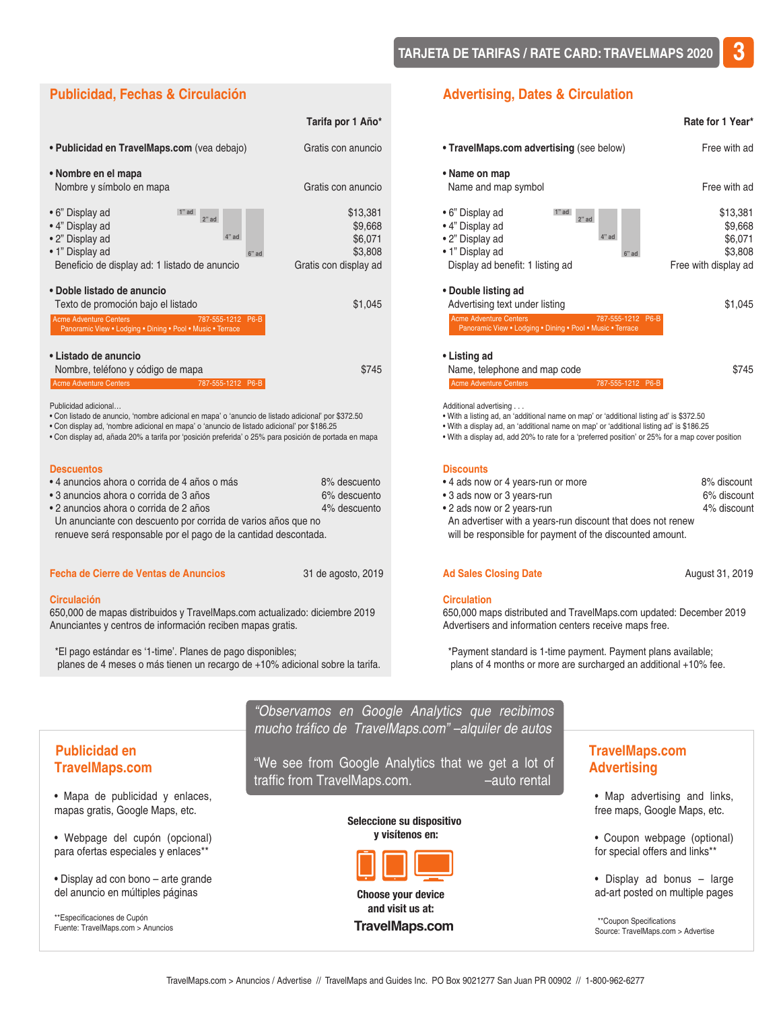#### **4" ad 6" ad 2" ad 1" ad Publicidad, Fechas & Circulación Tarifa por 1 Año\*** • Publicidad e[n TravelMaps.com](http://www.travelmaps.com/casa/) (vea debajo) Gratis con anuncio **• Nombre en el mapa**  Nombre y símbolo en mapa Gratis con anuncio • 6" Display ad \$13,381  $\bullet$  4" Display ad  $\bullet$  39,668 • 2" Display ad  $4^{\circ}$  ad  $4^{\circ}$  ad  $36,071$ • 1" Display ad  $6"$  ad  $6"$  ad  $3,808$ Beneficio de display ad: 1 listado de anuncio Gratis con display ad **• Doble listado de anuncio** Texto de promoción bajo el listado  $$1,045$ **• Listado de anuncio**  Nombre, teléfono y código de mapa  $$745$ Publicidad adicional… • Con listado de anuncio, 'nombre adicional en mapa' o 'anuncio de listado adicional' por \$372.50 • Con display ad, 'nombre adicional en mapa' o 'anuncio de listado adicional' por \$186.25 • Con display ad, añada 20% a tarifa por 'posición preferida' o 25% para posición de portada en mapa **Descuentos**  • 4 anuncios ahora o corrida de 4 años o más 6% descuento • 3 anuncios ahora o corrida de 3 años 6% descuento • 2 anuncios ahora o corrida de 2 años 4% descuento Un anunciante con descuento por corrida de varios años que no Acme Adventure Centers 787-555-1212 P6-B Acme Adventure Centers 787-555-1212 P6-B Panoramic View • Lodging • Dining • Pool • Music • Terrace

renueve será responsable por el pago de la cantidad descontada.

#### **Fecha de Cierre de Ventas de Anuncios** 31 de agosto, 2019

#### **Circulación**

650,000 de mapas distribuidos y [TravelMaps.com](http://www.travelmaps.com/casa/) actualizado: diciembre 2019 Anunciantes y centros de información reciben mapas gratis.

 \*El pago estándar es '1-time'. Planes de pago disponibles; planes de 4 meses o más tienen un recargo de +10% adicional sobre la tarifa.

#### **Advertising, Dates & Circulation**

|                                                                                                                                                                                                                                                                                                                 | Rate for 1 Year*                                                  |
|-----------------------------------------------------------------------------------------------------------------------------------------------------------------------------------------------------------------------------------------------------------------------------------------------------------------|-------------------------------------------------------------------|
| • TravelMaps.com advertising (see below)                                                                                                                                                                                                                                                                        | Free with ad                                                      |
| • Name on map<br>Name and map symbol                                                                                                                                                                                                                                                                            | Free with ad                                                      |
| • 6" Display ad<br>1" ad<br>$2"$ ad<br>• 4" Display ad<br>$4"$ ad<br>• 2" Display ad<br>• 1" Display ad<br>$6"$ ad<br>Display ad benefit: 1 listing ad<br>• Double listing ad                                                                                                                                   | \$13,381<br>\$9,668<br>\$6.071<br>\$3,808<br>Free with display ad |
| Advertising text under listing                                                                                                                                                                                                                                                                                  | \$1,045                                                           |
| <b>Acme Adventure Centers</b><br>787-555-1212 P6-B<br>Panoramic View . Lodging . Dining . Pool . Music . Terrace                                                                                                                                                                                                |                                                                   |
| • Listing ad<br>Name, telephone and map code                                                                                                                                                                                                                                                                    | \$745                                                             |
| <b>Acme Adventure Centers</b><br>787-555-1212 P6-B                                                                                                                                                                                                                                                              |                                                                   |
| Additional advertising<br>. With a listing ad, an 'additional name on map' or 'additional listing ad' is \$372.50<br>• With a display ad, an 'additional name on map' or 'additional listing ad' is \$186.25<br>. With a display ad, add 20% to rate for a 'preferred position' or 25% for a map cover position |                                                                   |
| <b>Discounts</b>                                                                                                                                                                                                                                                                                                |                                                                   |
| • 4 ads now or 4 years-run or more                                                                                                                                                                                                                                                                              | 8% discount                                                       |

• 3 ads now or 3 years-run 6% discount • 2 ads now or 2 years-run 4% discount An advertiser with a years-run discount that does not renew will be responsible for payment of the discounted amount.

#### Ad Sales Closing Date **August 31, 2019**

#### **Circulation**

650,000 maps distributed and [TravelMaps.com](http://www.travelmaps.com/home/) updated: December 2019 Advertisers and information centers receive maps free.

 \*Payment standard is 1-time payment. Payment plans available; plans of 4 months or more are surcharged an additional +10% fee.

|                                                                         | cocontained on decepto interface que recipinted<br>mucho tráfico de TravelMaps.com" - alquiler de autos |                                                               |
|-------------------------------------------------------------------------|---------------------------------------------------------------------------------------------------------|---------------------------------------------------------------|
| <b>Publicidad en</b><br><b>TravelMaps.com</b>                           | "We see from Google Analytics that we get a lot of<br>traffic from TravelMaps.com.<br>-auto rental      | <b>TravelMaps.com</b><br><b>Advertising</b>                   |
| • Mapa de publicidad y enlaces,<br>mapas gratis, Google Maps, etc.      | Seleccione su dispositivo                                                                               | • Map advertising and links,<br>free maps, Google Maps, etc.  |
| • Webpage del cupón (opcional)<br>para ofertas especiales y enlaces**   | y visítenos en:                                                                                         | • Coupon webpage (optional)<br>for special offers and links** |
| · Display ad con bono - arte grande<br>del anuncio en múltiples páginas | <b>Choose your device</b>                                                                               | • Display ad bonus - large<br>ad-art posted on multiple pages |

*"Observamos en Google Analytics que recibimos* 

\*\*Especificaciones de Cupón Fuente: [TravelMaps.com](http://www.travelmaps.com/casa/) > Anuncios

**and visit us at: [TravelMaps.com](http://www.travelmaps.com/home/)** 

\*\*Coupon Specifications Source: [TravelMaps.com](http://www.travelmaps.com/home/) > Advertise